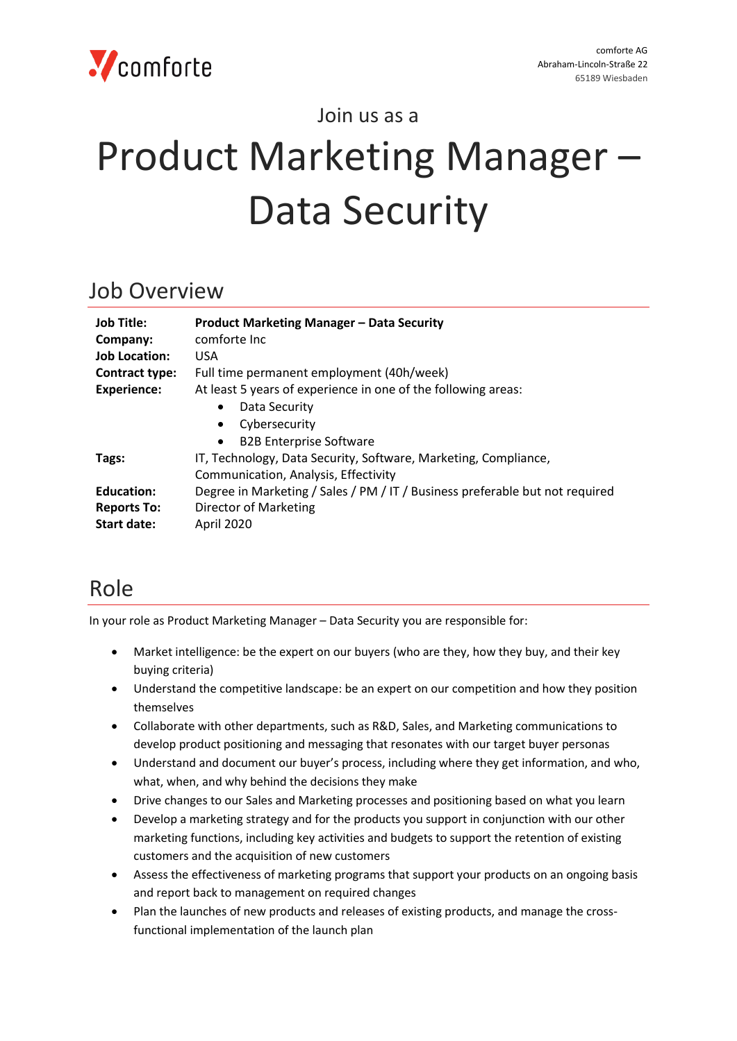

Join us as a

# Product Marketing Manager – Data Security

#### Job Overview

| Job Title:<br>Company: | <b>Product Marketing Manager - Data Security</b><br>comforte Inc             |
|------------------------|------------------------------------------------------------------------------|
| <b>Job Location:</b>   | <b>USA</b>                                                                   |
| Contract type:         | Full time permanent employment (40h/week)                                    |
| <b>Experience:</b>     | At least 5 years of experience in one of the following areas:                |
|                        | Data Security<br>$\bullet$                                                   |
|                        | Cybersecurity<br>$\bullet$                                                   |
|                        | <b>B2B Enterprise Software</b><br>$\bullet$                                  |
| Tags:                  | IT, Technology, Data Security, Software, Marketing, Compliance,              |
|                        | Communication, Analysis, Effectivity                                         |
| <b>Education:</b>      | Degree in Marketing / Sales / PM / IT / Business preferable but not required |
| <b>Reports To:</b>     | <b>Director of Marketing</b>                                                 |
| <b>Start date:</b>     | April 2020                                                                   |

## Role

In your role as Product Marketing Manager – Data Security you are responsible for:

- Market intelligence: be the expert on our buyers (who are they, how they buy, and their key buying criteria)
- Understand the competitive landscape: be an expert on our competition and how they position themselves
- Collaborate with other departments, such as R&D, Sales, and Marketing communications to develop product positioning and messaging that resonates with our target buyer personas
- Understand and document our buyer's process, including where they get information, and who, what, when, and why behind the decisions they make
- Drive changes to our Sales and Marketing processes and positioning based on what you learn
- Develop a marketing strategy and for the products you support in conjunction with our other marketing functions, including key activities and budgets to support the retention of existing customers and the acquisition of new customers
- Assess the effectiveness of marketing programs that support your products on an ongoing basis and report back to management on required changes
- Plan the launches of new products and releases of existing products, and manage the crossfunctional implementation of the launch plan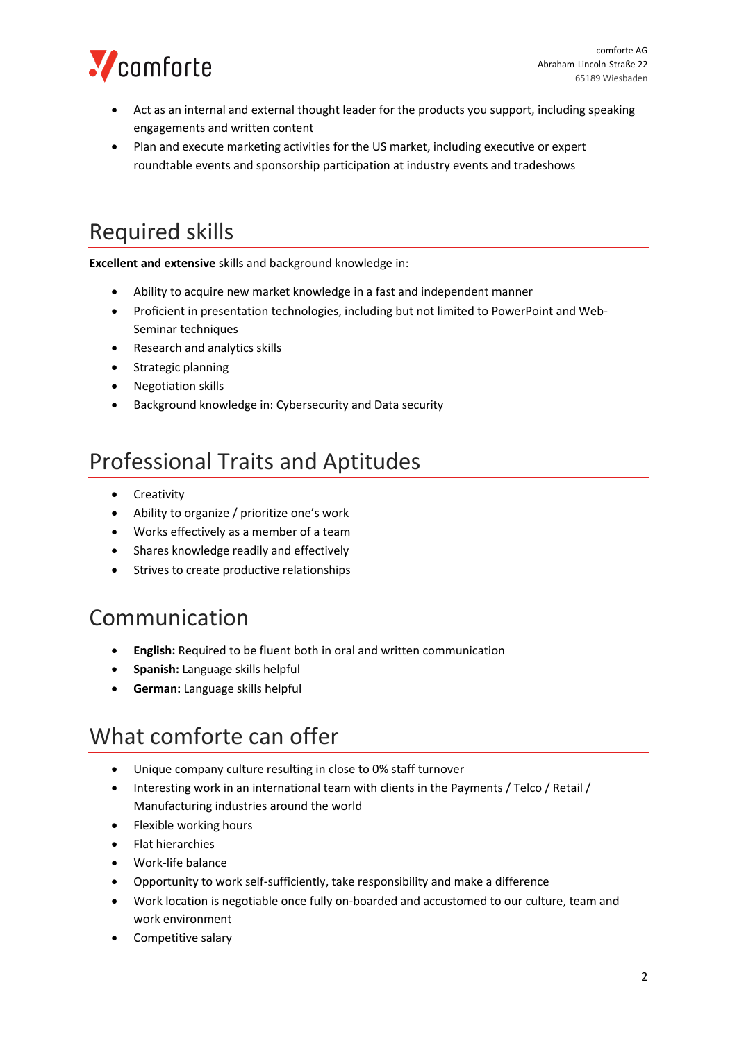

- Act as an internal and external thought leader for the products you support, including speaking engagements and written content
- Plan and execute marketing activities for the US market, including executive or expert roundtable events and sponsorship participation at industry events and tradeshows

# Required skills

**Excellent and extensive** skills and background knowledge in:

- Ability to acquire new market knowledge in a fast and independent manner
- Proficient in presentation technologies, including but not limited to PowerPoint and Web-Seminar techniques
- Research and analytics skills
- Strategic planning
- Negotiation skills
- Background knowledge in: Cybersecurity and Data security

## Professional Traits and Aptitudes

- Creativity
- Ability to organize / prioritize one's work
- Works effectively as a member of a team
- Shares knowledge readily and effectively
- Strives to create productive relationships

#### Communication

- **English:** Required to be fluent both in oral and written communication
- **Spanish:** Language skills helpful
- **German:** Language skills helpful

#### What comforte can offer

- Unique company culture resulting in close to 0% staff turnover
- Interesting work in an international team with clients in the Payments / Telco / Retail / Manufacturing industries around the world
- Flexible working hours
- Flat hierarchies
- Work-life balance
- Opportunity to work self-sufficiently, take responsibility and make a difference
- Work location is negotiable once fully on-boarded and accustomed to our culture, team and work environment
- Competitive salary